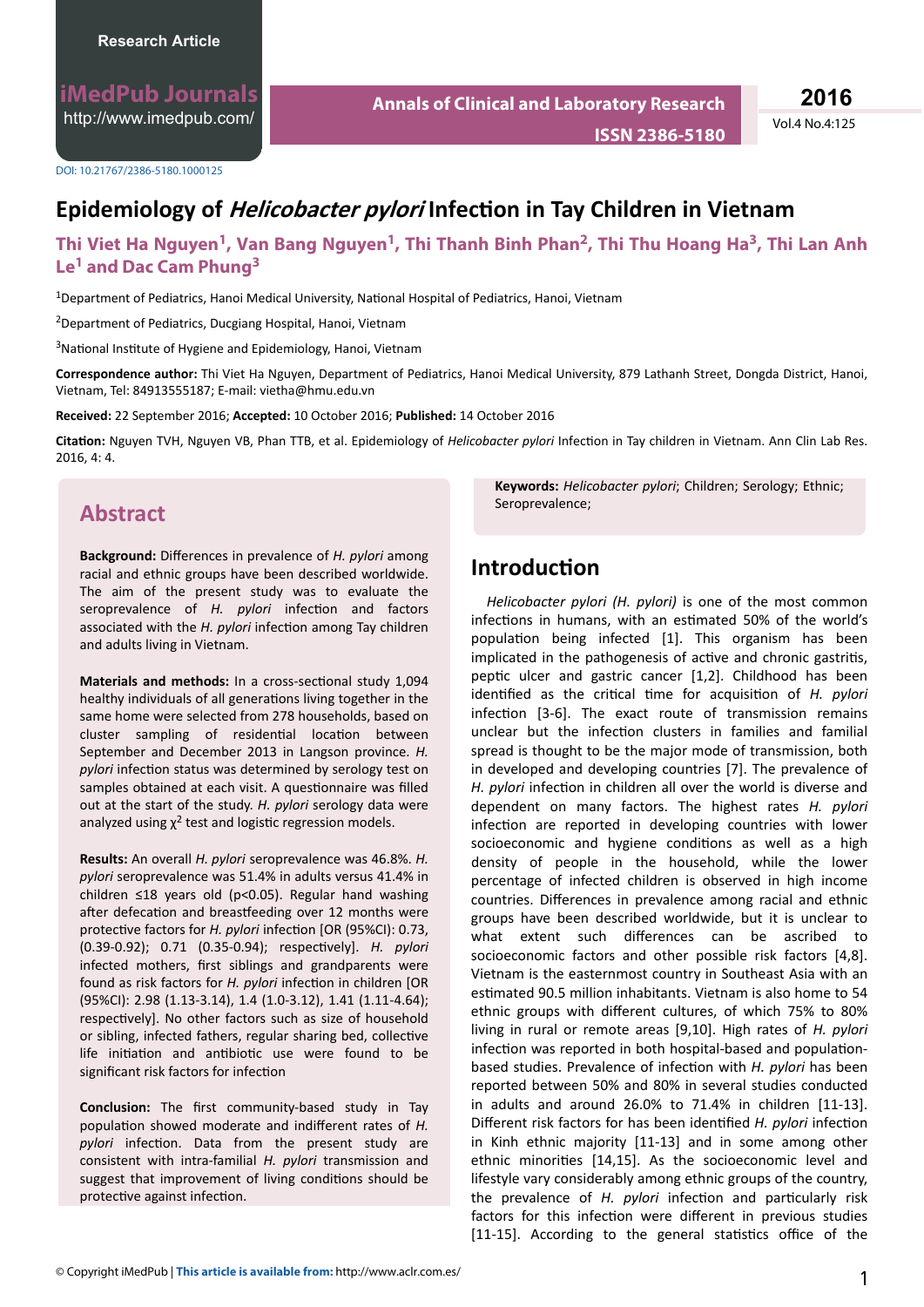iMedPub Journals http://www.imedpub.com/

DOI: 10.21767/2386-5180.1000125

# Epidemiology of *Helicobacter pylori* Infection in Tay Children in Vietnam

### Thi Viet Ha Nguyen<sup>1</sup>, Van Bang Nguyen<sup>1</sup>, Thi Thanh Binh Phan<sup>2</sup>, Thi Thu Hoang Ha<sup>3</sup>, Thi Lan Anh Le<sup>1</sup> and Dac Cam Phung<sup>3</sup>

<sup>1</sup>Department of Pediatrics, Hanoi Medical University, National Hospital of Pediatrics, Hanoi, Vietnam

<sup>2</sup>Department of Pediatrics, Ducgiang Hospital, Hanoi, Vietnam

<sup>3</sup>National Institute of Hygiene and Epidemiology, Hanoi, Vietnam

Correspondence author: Thi Viet Ha Nguyen, Department of Pediatrics, Hanoi Medical University, 879 Lathanh Street, Dongda District, Hanoi, Vietnam, Tel: 84913555187; E-mail: vietha@hmu.edu.vn

Received: 22 September 2016; Accepted: 10 October 2016; Published: 14 October 2016

Citation: Nguyen TVH, Nguyen VB, Phan TTB, et al. Epidemiology of Helicobacter pylori Infection in Tay children in Vietnam. Ann Clin Lab Res.  $2016, 4:4.$ 

### **Abstract**

Background: Differences in prevalence of H. pylori among racial and ethnic groups have been described worldwide. The aim of the present study was to evaluate the seroprevalence of H. pylori infection and factors associated with the H. pylori infection among Tay children and adults living in Vietnam.

Materials and methods: In a cross-sectional study 1,094 healthy individuals of all generations living together in the same home were selected from 278 households, based on cluster sampling of residential location between September and December 2013 in Langson province. H. pylori infection status was determined by serology test on samples obtained at each visit. A questionnaire was filled out at the start of the study. H. pylori serology data were analyzed using  $\chi^2$  test and logistic regression models.

Results: An overall H. pylori seroprevalence was 46.8%. H. pylori seroprevalence was 51.4% in adults versus 41.4% in children  $\leq$ 18 years old (p<0.05). Regular hand washing after defecation and breastfeeding over 12 months were protective factors for H. pylori infection [OR (95%CI): 0.73, (0.39-0.92); 0.71 (0.35-0.94); respectively]. H. pylori infected mothers, first siblings and grandparents were found as risk factors for H. pylori infection in children [OR (95%Cl): 2.98 (1.13-3.14), 1.4 (1.0-3.12), 1.41 (1.11-4.64); respectively]. No other factors such as size of household or sibling, infected fathers, regular sharing bed, collective life initiation and antibiotic use were found to be significant risk factors for infection

Conclusion: The first community-based study in Tay population showed moderate and indifferent rates of H. pylori infection. Data from the present study are consistent with intra-familial H. pylori transmission and suggest that improvement of living conditions should be protective against infection.

Keywords: Helicobacter pylori; Children; Serology; Ethnic; Seroprevalence;

**ISSN 2386-5180** 

### Introduction

**Annals of Clinical and Laboratory Research** 

Helicobacter pylori (H. pylori) is one of the most common infections in humans, with an estimated 50% of the world's population being infected [1]. This organism has been implicated in the pathogenesis of active and chronic gastritis, peptic ulcer and gastric cancer [1,2]. Childhood has been identified as the critical time for acquisition of H. pylori infection [3-6]. The exact route of transmission remains unclear but the infection clusters in families and familial spread is thought to be the major mode of transmission, both in developed and developing countries [7]. The prevalence of H. pylori infection in children all over the world is diverse and dependent on many factors. The highest rates H. pylori infection are reported in developing countries with lower socioeconomic and hygiene conditions as well as a high density of people in the household, while the lower percentage of infected children is observed in high income countries. Differences in prevalence among racial and ethnic groups have been described worldwide, but it is unclear to what extent such differences can be ascribed to socioeconomic factors and other possible risk factors [4,8]. Vietnam is the easternmost country in Southeast Asia with an estimated 90.5 million inhabitants. Vietnam is also home to 54 ethnic groups with different cultures, of which 75% to 80% living in rural or remote areas [9,10]. High rates of H. pylori infection was reported in both hospital-based and populationbased studies. Prevalence of infection with H. pylori has been reported between 50% and 80% in several studies conducted in adults and around 26.0% to 71.4% in children [11-13]. Different risk factors for has been identified H. pylori infection in Kinh ethnic maiority [11-13] and in some among other ethnic minorities [14,15]. As the socioeconomic level and lifestyle vary considerably among ethnic groups of the country, the prevalence of H. pylori infection and particularly risk factors for this infection were different in previous studies [11-15]. According to the general statistics office of the

2016

Vol.4 No.4:125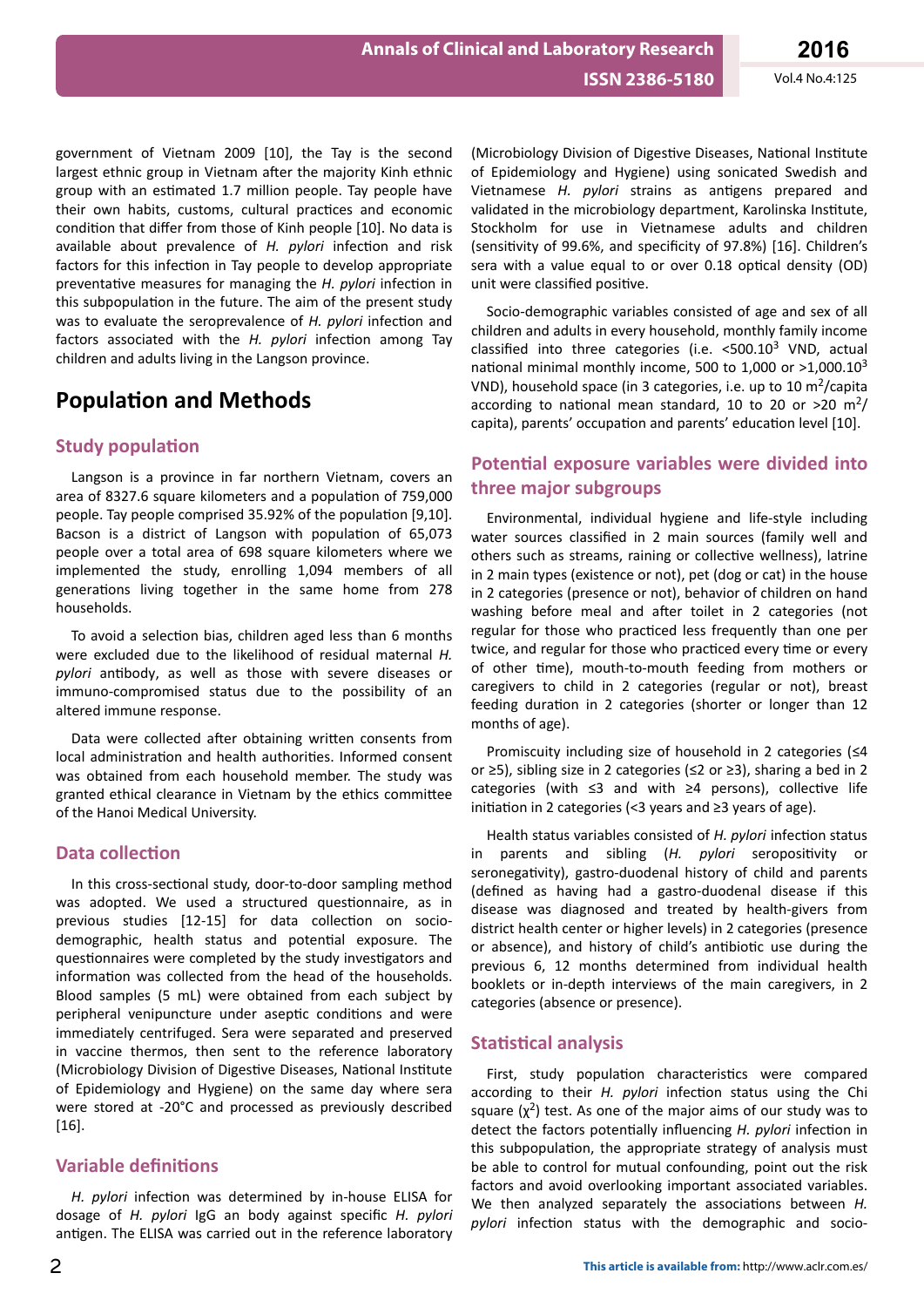Vol.4 No.4:125

government of Vietnam 2009 [10], the Tay is the second largest ethnic group in Vietnam after the majority Kinh ethnic group with an estimated 1.7 million people. Tay people have their own habits, customs, cultural practices and economic condition that differ from those of Kinh people [10]. No data is available about prevalence of H. pylori infection and risk factors for this infection in Tay people to develop appropriate preventative measures for managing the H. pylori infection in this subpopulation in the future. The aim of the present study was to evaluate the seroprevalence of H. pylori infection and factors associated with the H. pylori infection among Tay children and adults living in the Langson province.

# **Population and Methods**

#### **Study population**

Langson is a province in far northern Vietnam, covers an area of 8327.6 square kilometers and a population of 759,000 people. Tay people comprised 35.92% of the population [9,10]. Bacson is a district of Langson with population of 65,073 people over a total area of 698 square kilometers where we implemented the study, enrolling 1,094 members of all generations living together in the same home from 278 households.

To avoid a selection bias, children aged less than 6 months were excluded due to the likelihood of residual maternal H. pylori antibody, as well as those with severe diseases or immuno-compromised status due to the possibility of an altered immune response.

Data were collected after obtaining written consents from local administration and health authorities. Informed consent was obtained from each household member. The study was granted ethical clearance in Vietnam by the ethics committee of the Hanoi Medical University.

#### **Data collection**

In this cross-sectional study, door-to-door sampling method was adopted. We used a structured questionnaire, as in previous studies [12-15] for data collection on sociodemographic, health status and potential exposure. The questionnaires were completed by the study investigators and information was collected from the head of the households. Blood samples (5 mL) were obtained from each subject by peripheral venipuncture under aseptic conditions and were immediately centrifuged. Sera were separated and preserved in vaccine thermos, then sent to the reference laboratory (Microbiology Division of Digestive Diseases, National Institute of Epidemiology and Hygiene) on the same day where sera were stored at -20°C and processed as previously described  $[16]$ .

#### **Variable definitions**

H. pylori infection was determined by in-house ELISA for dosage of H. pylori IgG an body against specific H. pylori antigen. The ELISA was carried out in the reference laboratory

(Microbiology Division of Digestive Diseases, National Institute of Epidemiology and Hygiene) using sonicated Swedish and Vietnamese H. pylori strains as antigens prepared and validated in the microbiology department, Karolinska Institute, Stockholm for use in Vietnamese adults and children (sensitivity of 99.6%, and specificity of 97.8%) [16]. Children's sera with a value equal to or over 0.18 optical density (OD) unit were classified positive.

Socio-demographic variables consisted of age and sex of all children and adults in every household, monthly family income classified into three categories (i.e. <500.10<sup>3</sup> VND, actual national minimal monthly income, 500 to 1,000 or  $>1,000.10^{3}$ VND), household space (in 3 categories, i.e. up to 10 m<sup>2</sup>/capita according to national mean standard. 10 to 20 or  $>20$  m<sup>2</sup>/ capita), parents' occupation and parents' education level [10].

### Potential exposure variables were divided into three major subgroups

Environmental, individual hygiene and life-style including water sources classified in 2 main sources (family well and others such as streams, raining or collective wellness), latrine in 2 main types (existence or not), pet (dog or cat) in the house in 2 categories (presence or not), behavior of children on hand washing before meal and after toilet in 2 categories (not regular for those who practiced less frequently than one per twice, and regular for those who practiced every time or every of other time), mouth-to-mouth feeding from mothers or caregivers to child in 2 categories (regular or not), breast feeding duration in 2 categories (shorter or longer than 12 months of age).

Promiscuity including size of household in 2 categories ( $\leq 4$ or ≥5), sibling size in 2 categories (≤2 or ≥3), sharing a bed in 2 categories (with ≤3 and with ≥4 persons), collective life initiation in 2 categories (<3 years and ≥3 years of age).

Health status variables consisted of H. pylori infection status in parents and sibling (H. pylori seropositivity or seronegativity), gastro-duodenal history of child and parents (defined as having had a gastro-duodenal disease if this disease was diagnosed and treated by health-givers from district health center or higher levels) in 2 categories (presence or absence), and history of child's antibiotic use during the previous 6, 12 months determined from individual health booklets or in-depth interviews of the main caregivers, in 2 categories (absence or presence).

#### **Statistical analysis**

First, study population characteristics were compared according to their H. pylori infection status using the Chi square  $(x^2)$  test. As one of the major aims of our study was to detect the factors potentially influencing H. pylori infection in this subpopulation, the appropriate strategy of analysis must be able to control for mutual confounding, point out the risk factors and avoid overlooking important associated variables. We then analyzed separately the associations between H. pylori infection status with the demographic and socio-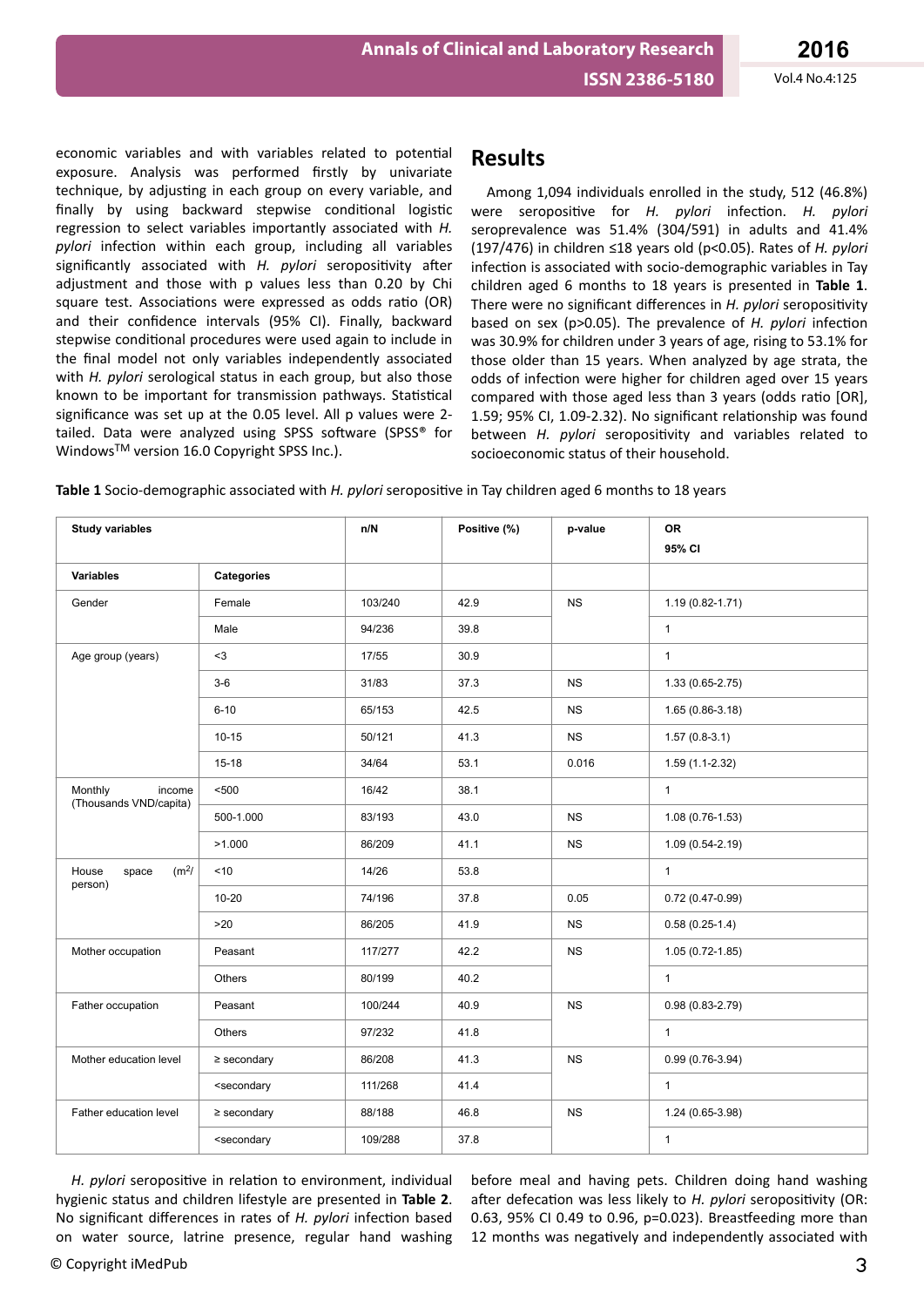Vol.4 No.4:125

economic variables and with variables related to potential exposure. Analysis was performed firstly by univariate technique, by adjusting in each group on every variable, and finally by using backward stepwise conditional logistic regression to select variables importantly associated with H. pylori infection within each group, including all variables significantly associated with H. pylori seropositivity after adjustment and those with p values less than 0.20 by Chi square test. Associations were expressed as odds ratio (OR) and their confidence intervals (95% CI). Finally, backward stepwise conditional procedures were used again to include in the final model not only variables independently associated with H. pylori serological status in each group, but also those known to be important for transmission pathways. Statistical significance was set up at the 0.05 level. All p values were 2tailed. Data were analyzed using SPSS software (SPSS® for Windows™ version 16.0 Copyright SPSS Inc.).

### **Results**

Among 1,094 individuals enrolled in the study, 512 (46.8%) were seropositive for H. pylori infection. H. pylori seroprevalence was 51.4% (304/591) in adults and 41.4% (197/476) in children ≤18 years old (p<0.05). Rates of *H. pylori* infection is associated with socio-demographic variables in Tay children aged 6 months to 18 years is presented in Table 1. There were no significant differences in H. pylori seropositivity based on sex (p>0.05). The prevalence of H. pylori infection was 30.9% for children under 3 years of age, rising to 53.1% for those older than 15 years. When analyzed by age strata, the odds of infection were higher for children aged over 15 years compared with those aged less than 3 years (odds ratio [OR], 1.59; 95% CI, 1.09-2.32). No significant relationship was found between H. pylori seropositivity and variables related to socioeconomic status of their household.

Table 1 Socio-demographic associated with *H. pylori* seropositive in Tay children aged 6 months to 18 years

| <b>Study variables</b>                         |                                                                                                       | n/N     | Positive (%) | p-value   | <b>OR</b><br>95% CI |
|------------------------------------------------|-------------------------------------------------------------------------------------------------------|---------|--------------|-----------|---------------------|
| <b>Variables</b>                               | Categories                                                                                            |         |              |           |                     |
| Gender                                         | Female                                                                                                | 103/240 | 42.9         | <b>NS</b> | $1.19(0.82 - 1.71)$ |
|                                                | Male                                                                                                  | 94/236  | 39.8         |           | $\mathbf{1}$        |
| Age group (years)                              | $3$                                                                                                   | 17/55   | 30.9         |           | $\mathbf{1}$        |
|                                                | $3-6$                                                                                                 | 31/83   | 37.3         | <b>NS</b> | $1.33(0.65-2.75)$   |
|                                                | $6 - 10$                                                                                              | 65/153  | 42.5         | <b>NS</b> | $1.65(0.86-3.18)$   |
|                                                | $10 - 15$                                                                                             | 50/121  | 41.3         | <b>NS</b> | $1.57(0.8-3.1)$     |
|                                                | $15 - 18$                                                                                             | 34/64   | 53.1         | 0.016     | $1.59(1.1-2.32)$    |
| Monthly<br>income<br>(Thousands VND/capita)    | $500$                                                                                                 | 16/42   | 38.1         |           | $\mathbf{1}$        |
|                                                | 500-1.000                                                                                             | 83/193  | 43.0         | <b>NS</b> | $1.08(0.76-1.53)$   |
|                                                | >1.000                                                                                                | 86/209  | 41.1         | <b>NS</b> | $1.09(0.54 - 2.19)$ |
| (m <sup>2</sup> /<br>House<br>space<br>person) | < 10                                                                                                  | 14/26   | 53.8         |           | $\mathbf{1}$        |
|                                                | $10 - 20$                                                                                             | 74/196  | 37.8         | 0.05      | $0.72(0.47-0.99)$   |
|                                                | >20                                                                                                   | 86/205  | 41.9         | <b>NS</b> | $0.58(0.25-1.4)$    |
| Mother occupation                              | Peasant                                                                                               | 117/277 | 42.2         | <b>NS</b> | $1.05(0.72 - 1.85)$ |
|                                                | Others                                                                                                | 80/199  | 40.2         |           | $\mathbf{1}$        |
| Father occupation                              | Peasant                                                                                               | 100/244 | 40.9         | <b>NS</b> | $0.98(0.83 - 2.79)$ |
|                                                | Others                                                                                                | 97/232  | 41.8         |           | $\mathbf{1}$        |
| Mother education level                         | $\ge$ secondary                                                                                       | 86/208  | 41.3         | <b>NS</b> | $0.99(0.76-3.94)$   |
|                                                | <secondary< td=""><td>111/268</td><td>41.4</td><td></td><td><math>\mathbf{1}</math></td></secondary<> | 111/268 | 41.4         |           | $\mathbf{1}$        |
| Father education level                         | $\ge$ secondary                                                                                       | 88/188  | 46.8         | <b>NS</b> | 1.24 (0.65-3.98)    |
|                                                | <secondary< td=""><td>109/288</td><td>37.8</td><td></td><td><math>\mathbf{1}</math></td></secondary<> | 109/288 | 37.8         |           | $\mathbf{1}$        |

H. pylori seropositive in relation to environment, individual hygienic status and children lifestyle are presented in Table 2. No significant differences in rates of H. pylori infection based on water source, latrine presence, regular hand washing before meal and having pets. Children doing hand washing after defecation was less likely to H. pylori seropositivity (OR: 0.63, 95% CI 0.49 to 0.96, p=0.023). Breastfeeding more than 12 months was negatively and independently associated with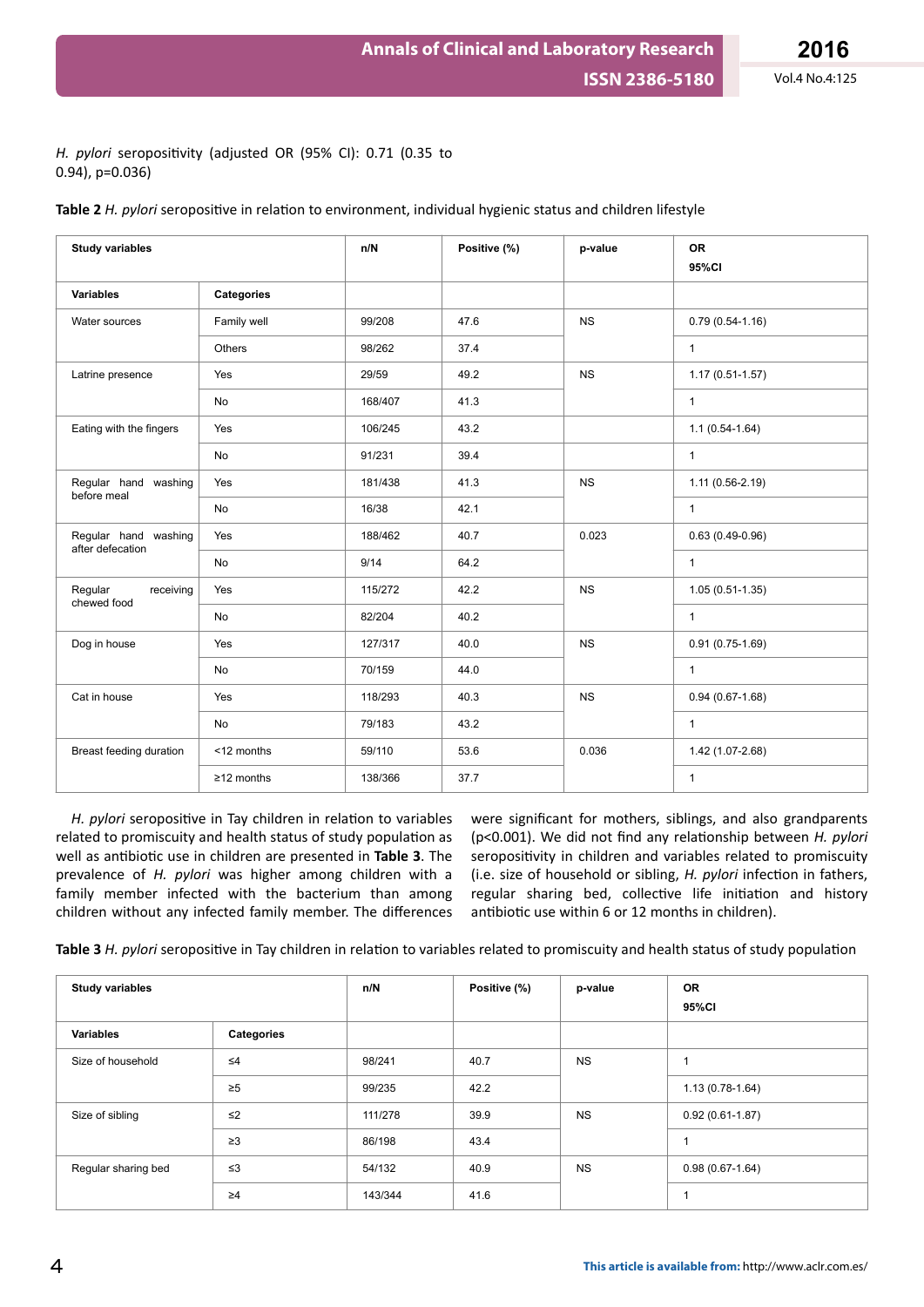Vol.4 No.4:125

#### H. pylori seropositivity (adjusted OR (95% CI): 0.71 (0.35 to  $0.94$ ), p=0.036)

| <b>Study variables</b>                   |                   | n/N     | Positive (%) | p-value   | <b>OR</b><br>95%CI |
|------------------------------------------|-------------------|---------|--------------|-----------|--------------------|
| <b>Variables</b>                         | <b>Categories</b> |         |              |           |                    |
| Water sources                            | Family well       | 99/208  | 47.6         | <b>NS</b> | $0.79(0.54-1.16)$  |
|                                          | <b>Others</b>     | 98/262  | 37.4         |           | $\mathbf{1}$       |
| Latrine presence                         | Yes               | 29/59   | 49.2         | <b>NS</b> | $1.17(0.51-1.57)$  |
|                                          | <b>No</b>         | 168/407 | 41.3         |           | $\mathbf{1}$       |
| Eating with the fingers                  | Yes               | 106/245 | 43.2         |           | $1.1(0.54-1.64)$   |
|                                          | No                | 91/231  | 39.4         |           | $\mathbf{1}$       |
| Regular hand washing<br>before meal      | Yes               | 181/438 | 41.3         | <b>NS</b> | $1.11(0.56-2.19)$  |
|                                          | No                | 16/38   | 42.1         |           | $\mathbf{1}$       |
| Regular hand washing<br>after defecation | Yes               | 188/462 | 40.7         | 0.023     | $0.63(0.49-0.96)$  |
|                                          | <b>No</b>         | 9/14    | 64.2         |           | $\mathbf{1}$       |
| Regular<br>receiving<br>chewed food      | Yes               | 115/272 | 42.2         | <b>NS</b> | $1.05(0.51-1.35)$  |
|                                          | <b>No</b>         | 82/204  | 40.2         |           | $\mathbf{1}$       |
| Dog in house                             | Yes               | 127/317 | 40.0         | <b>NS</b> | $0.91(0.75-1.69)$  |
|                                          | No                | 70/159  | 44.0         |           | $\mathbf{1}$       |
| Cat in house                             | Yes               | 118/293 | 40.3         | <b>NS</b> | $0.94(0.67-1.68)$  |
|                                          | <b>No</b>         | 79/183  | 43.2         |           | $\mathbf{1}$       |
| Breast feeding duration                  | <12 months        | 59/110  | 53.6         | 0.036     | 1.42 (1.07-2.68)   |
|                                          | $\geq$ 12 months  | 138/366 | 37.7         |           | $\mathbf{1}$       |

H. pylori seropositive in Tay children in relation to variables related to promiscuity and health status of study population as well as antibiotic use in children are presented in Table 3. The prevalence of H. pylori was higher among children with a family member infected with the bacterium than among children without any infected family member. The differences were significant for mothers, siblings, and also grandparents (p<0.001). We did not find any relationship between H. pylori seropositivity in children and variables related to promiscuity (i.e. size of household or sibling, H. pylori infection in fathers, regular sharing bed, collective life initiation and history antibiotic use within 6 or 12 months in children).

Table 3 H. pylori seropositive in Tay children in relation to variables related to promiscuity and health status of study population

|  | <b>Study variables</b> |                   | n/N     | Positive (%) | p-value   | <b>OR</b>         |
|--|------------------------|-------------------|---------|--------------|-----------|-------------------|
|  |                        |                   |         |              |           | 95%CI             |
|  | <b>Variables</b>       | <b>Categories</b> |         |              |           |                   |
|  | Size of household      | $\leq 4$          | 98/241  | 40.7         | <b>NS</b> |                   |
|  |                        | $\geq 5$          | 99/235  | 42.2         |           | $1.13(0.78-1.64)$ |
|  | Size of sibling        | $\leq$ 2          | 111/278 | 39.9         | <b>NS</b> | $0.92(0.61-1.87)$ |
|  |                        | $\geq$ 3          | 86/198  | 43.4         |           |                   |
|  | Regular sharing bed    | $\leq$ 3          | 54/132  | 40.9         | <b>NS</b> | $0.98(0.67-1.64)$ |
|  |                        | $\geq 4$          | 143/344 | 41.6         |           |                   |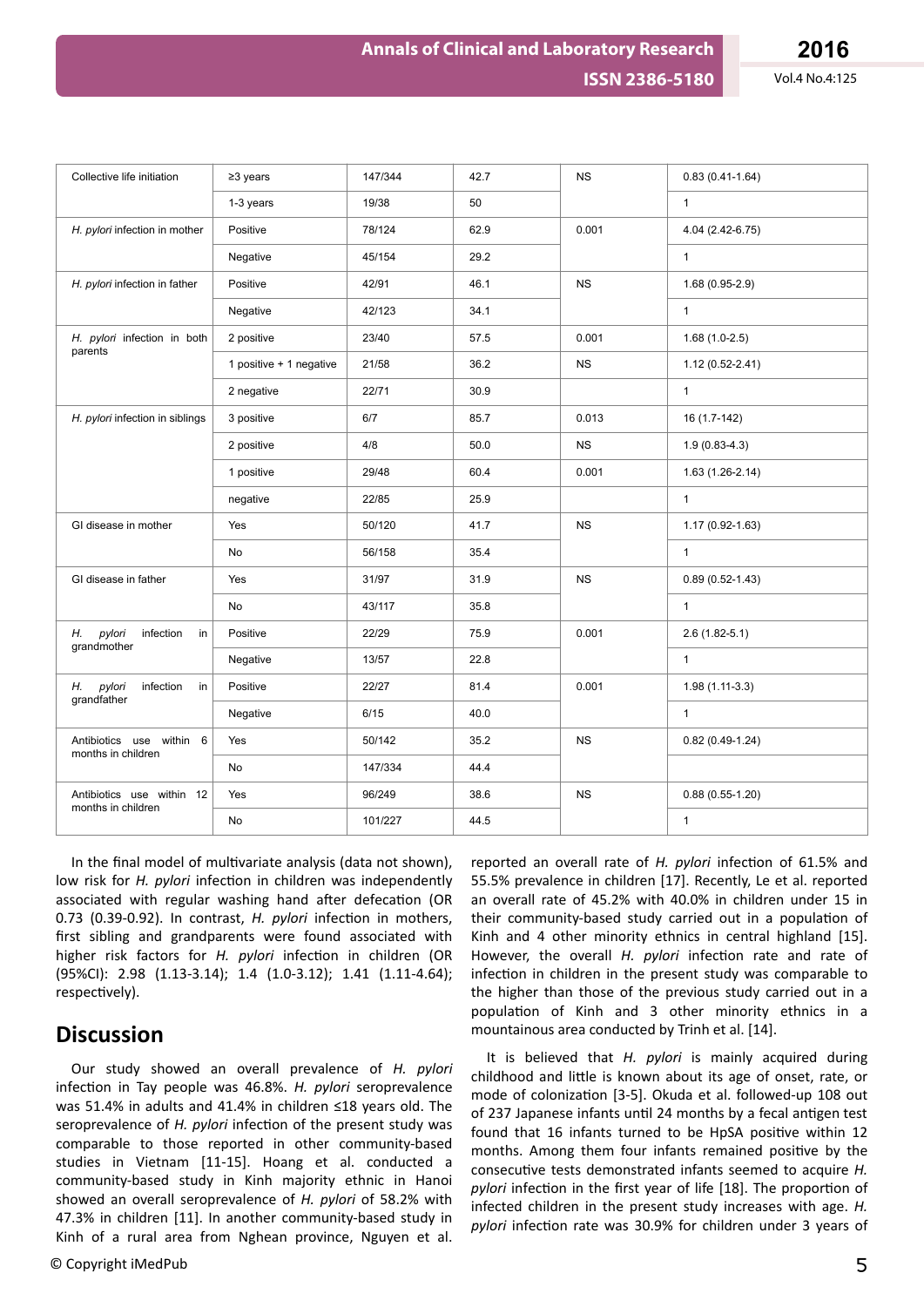| Collective life initiation                      | $\geq$ 3 years          | 147/344 | 42.7 | <b>NS</b> | $0.83(0.41-1.64)$   |
|-------------------------------------------------|-------------------------|---------|------|-----------|---------------------|
|                                                 | 1-3 years               | 19/38   | 50   |           | $\mathbf{1}$        |
| H. pylori infection in mother                   | Positive                | 78/124  | 62.9 | 0.001     | 4.04 (2.42-6.75)    |
|                                                 | Negative                | 45/154  | 29.2 |           | $\mathbf{1}$        |
| H. pylori infection in father                   | Positive                | 42/91   | 46.1 | <b>NS</b> | $1.68(0.95-2.9)$    |
|                                                 | Negative                | 42/123  | 34.1 |           | $\mathbf{1}$        |
| H. pylori infection in both<br>parents          | 2 positive              | 23/40   | 57.5 | 0.001     | $1.68(1.0-2.5)$     |
|                                                 | 1 positive + 1 negative | 21/58   | 36.2 | <b>NS</b> | $1.12(0.52 - 2.41)$ |
|                                                 | 2 negative              | 22/71   | 30.9 |           | $\mathbf{1}$        |
| H. pylori infection in siblings                 | 3 positive              | 6/7     | 85.7 | 0.013     | 16 (1.7-142)        |
|                                                 | 2 positive              | 4/8     | 50.0 | <b>NS</b> | $1.9(0.83-4.3)$     |
|                                                 | 1 positive              | 29/48   | 60.4 | 0.001     | $1.63(1.26-2.14)$   |
|                                                 | negative                | 22/85   | 25.9 |           | $\mathbf{1}$        |
| GI disease in mother                            | Yes                     | 50/120  | 41.7 | <b>NS</b> | $1.17(0.92 - 1.63)$ |
|                                                 | No                      | 56/158  | 35.4 |           | $\mathbf{1}$        |
| GI disease in father                            | Yes                     | 31/97   | 31.9 | <b>NS</b> | $0.89(0.52 - 1.43)$ |
|                                                 | No                      | 43/117  | 35.8 |           | $\mathbf{1}$        |
| H. pylori<br>infection<br>in<br>grandmother     | Positive                | 22/29   | 75.9 | 0.001     | $2.6(1.82-5.1)$     |
|                                                 | Negative                | 13/57   | 22.8 |           | $\mathbf{1}$        |
| H. pylori<br>infection<br>in<br>grandfather     | Positive                | 22/27   | 81.4 | 0.001     | $1.98(1.11-3.3)$    |
|                                                 | Negative                | 6/15    | 40.0 |           | $\mathbf{1}$        |
| Antibiotics use within 6<br>months in children  | Yes                     | 50/142  | 35.2 | <b>NS</b> | $0.82(0.49-1.24)$   |
|                                                 | No                      | 147/334 | 44.4 |           |                     |
| Antibiotics use within 12<br>months in children | Yes                     | 96/249  | 38.6 | <b>NS</b> | $0.88(0.55-1.20)$   |
|                                                 | No                      | 101/227 | 44.5 |           | $\mathbf{1}$        |

In the final model of multivariate analysis (data not shown), low risk for *H. pylori* infection in children was independently associated with regular washing hand after defecation (OR 0.73 (0.39-0.92). In contrast, *H. pylori* infection in mothers, first sibling and grandparents were found associated with higher risk factors for *H. pylori* infection in children (OR (95%CI): 2.98 (1.13-3.14); 1.4 (1.0-3.12); 1.41 (1.11-4.64); respectively).

# **Discussion**

Our study showed an overall prevalence of *H. pylori* infection in Tay people was 46.8%. *H. pylori* seroprevalence was 51.4% in adults and 41.4% in children ≤18 years old. The seroprevalence of *H. pylori* infection of the present study was comparable to those reported in other community-based studies in Vietnam [11-15]. Hoang et al. conducted a community-based study in Kinh majority ethnic in Hanoi showed an overall seroprevalence of *H. pylori* of 58.2% with 47.3% in children [11]. In another community-based study in Kinh of a rural area from Nghean province, Nguyen et al.

reported an overall rate of *H. pylori* infection of 61.5% and 55.5% prevalence in children [17]. Recently, Le et al. reported an overall rate of 45.2% with 40.0% in children under 15 in their community-based study carried out in a population of Kinh and 4 other minority ethnics in central highland [15]. However, the overall *H. pylori* infection rate and rate of infection in children in the present study was comparable to the higher than those of the previous study carried out in a population of Kinh and 3 other minority ethnics in a mountainous area conducted by Trinh et al. [14].

It is believed that *H. pylori* is mainly acquired during childhood and little is known about its age of onset, rate, or mode of colonization [3-5]. Okuda et al. followed-up 108 out of 237 Japanese infants until 24 months by a fecal antigen test found that 16 infants turned to be HpSA positive within 12 months. Among them four infants remained positive by the consecutive tests demonstrated infants seemed to acquire *H. pylori* infection in the first year of life [18]. The proportion of infected children in the present study increases with age. *H.* pylori infection rate was 30.9% for children under 3 years of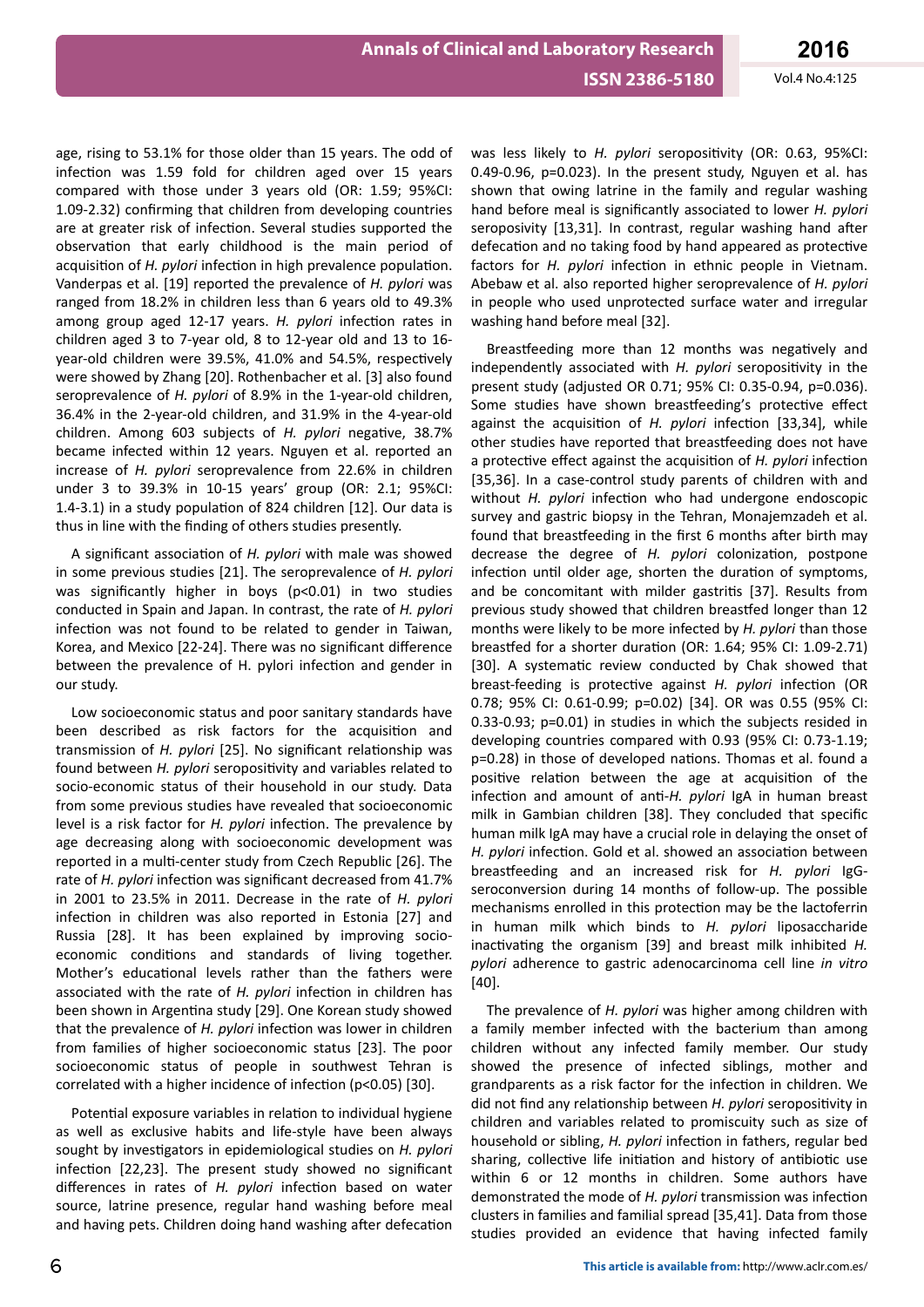age, rising to 53.1% for those older than 15 years. The odd of infection was 1.59 fold for children aged over 15 years compared with those under 3 years old (OR: 1.59; 95%CI: 1.09-2.32) confirming that children from developing countries are at greater risk of infection. Several studies supported the observation that early childhood is the main period of acquisition of *H. pylori* infection in high prevalence population. Vanderpas et al. [19] reported the prevalence of *H. pylori* was ranged from 18.2% in children less than 6 years old to 49.3% among group aged 12-17 years. *H. pylori* infection rates in children aged 3 to 7-year old, 8 to 12-year old and 13 to 16 year-old children were 39.5%, 41.0% and 54.5%, respectively were showed by Zhang [20]. Rothenbacher et al. [3] also found seroprevalence of *H. pylori* of 8.9% in the 1-year-old children, 36.4% in the 2-year-old children, and 31.9% in the 4-year-old children. Among 603 subjects of *H. pylori* negative, 38.7% became infected within 12 years. Nguyen et al. reported an increase of *H. pylori* seroprevalence from 22.6% in children under 3 to 39.3% in 10-15 years' group (OR: 2.1; 95%CI: 1.4-3.1) in a study population of 824 children [12]. Our data is thus in line with the finding of others studies presently.

A significant association of *H. pylori* with male was showed in some previous studies [21]. The seroprevalence of *H. pylori* was significantly higher in boys (p<0.01) in two studies conducted in Spain and Japan. In contrast, the rate of *H. pylori* infection was not found to be related to gender in Taiwan, Korea, and Mexico [22-24]. There was no significant difference between the prevalence of H. pylori infection and gender in our study.

Low socioeconomic status and poor sanitary standards have been described as risk factors for the acquisition and transmission of *H. pylori* [25]. No significant relationship was found between *H. pylori* seropositivity and variables related to socio-economic status of their household in our study. Data from some previous studies have revealed that socioeconomic level is a risk factor for *H. pylori* infection. The prevalence by age decreasing along with socioeconomic development was reported in a multi-center study from Czech Republic [26]. The rate of *H. pylori* infection was significant decreased from 41.7% in 2001 to 23.5% in 2011. Decrease in the rate of *H. pylori* infection in children was also reported in Estonia [27] and Russia [28]. It has been explained by improving socioeconomic conditions and standards of living together. Mother's educational levels rather than the fathers were associated with the rate of *H. pylori* infection in children has been shown in Argentina study [29]. One Korean study showed that the prevalence of *H. pylori* infection was lower in children from families of higher socioeconomic status [23]. The poor socioeconomic status of people in southwest Tehran is correlated with a higher incidence of infection (p<0.05) [30].

Potential exposure variables in relation to individual hygiene as well as exclusive habits and life-style have been always sought by investigators in epidemiological studies on *H. pylori* infection [22,23]. The present study showed no significant differences in rates of *H. pylori* infection based on water source, latrine presence, regular hand washing before meal and having pets. Children doing hand washing after defecation

was less likely to *H. pylori* seropositivity (OR: 0.63, 95%CI: 0.49-0.96, p=0.023). In the present study, Nguyen et al. has shown that owing latrine in the family and regular washing hand before meal is significantly associated to lower *H. pylori* seroposivity [13,31]. In contrast, regular washing hand after defecation and no taking food by hand appeared as protective factors for *H. pylori* infection in ethnic people in Vietnam. Abebaw et al. also reported higher seroprevalence of *H. pylori* in people who used unprotected surface water and irregular washing hand before meal [32].

Breastfeeding more than 12 months was negatively and independently associated with *H. pylori* seropositivity in the present study (adjusted OR 0.71; 95% CI: 0.35-0.94, p=0.036). Some studies have shown breastfeeding's protective effect against the acquisition of *H. pylori* infection [33,34], while other studies have reported that breastfeeding does not have a protective effect against the acquisition of *H. pylori* infection [35,36]. In a case-control study parents of children with and without *H. pylori* infection who had undergone endoscopic survey and gastric biopsy in the Tehran, Monajemzadeh et al. found that breastfeeding in the first 6 months after birth may decrease the degree of *H. pylori* colonization, postpone infection until older age, shorten the duration of symptoms, and be concomitant with milder gastritis [37]. Results from previous study showed that children breastfed longer than 12 months were likely to be more infected by *H. pylori* than those breastfed for a shorter duration (OR: 1.64; 95% CI: 1.09-2.71) [30]. A systematic review conducted by Chak showed that breast-feeding is protective against *H. pylori* infection (OR 0.78; 95% CI: 0.61-0.99; p=0.02) [34]. OR was 0.55 (95% CI: 0.33-0.93; p=0.01) in studies in which the subjects resided in developing countries compared with 0.93 (95% CI: 0.73-1.19; p=0.28) in those of developed nations. Thomas et al. found a positive relation between the age at acquisition of the infection and amount of anti-*H. pylori* IgA in human breast milk in Gambian children [38]. They concluded that specific human milk IgA may have a crucial role in delaying the onset of *H. pylori* infection. Gold et al. showed an association between breastfeeding and an increased risk for *H. pylori* IgGseroconversion during 14 months of follow-up. The possible mechanisms enrolled in this protection may be the lactoferrin in human milk which binds to *H. pylori* liposaccharide inactivating the organism [39] and breast milk inhibited *H. pylori* adherence to gastric adenocarcinoma cell line *in vitro* [40].

The prevalence of *H. pylori* was higher among children with a family member infected with the bacterium than among children without any infected family member. Our study showed the presence of infected siblings, mother and grandparents as a risk factor for the infection in children. We did not find any relationship between *H. pylori* seropositivity in children and variables related to promiscuity such as size of household or sibling, *H. pylori* infection in fathers, regular bed sharing, collective life initiation and history of antibiotic use within 6 or 12 months in children. Some authors have demonstrated the mode of *H. pylori* transmission was infection clusters in families and familial spread [35,41]. Data from those studies provided an evidence that having infected family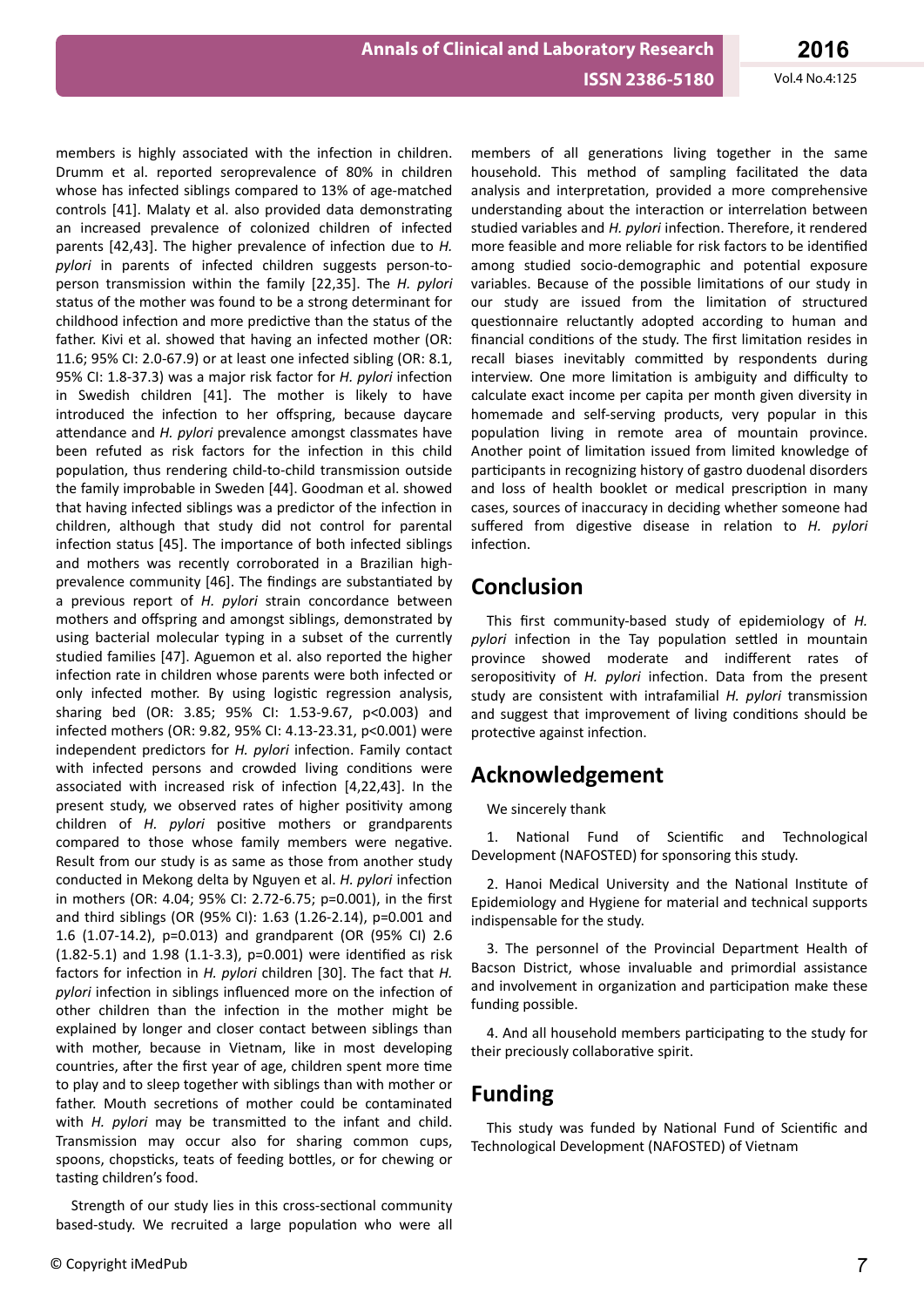**ISSN 2386-5180** Vol.4 No.4:125

members is highly associated with the infection in children. Drumm et al. reported seroprevalence of 80% in children whose has infected siblings compared to 13% of age-matched controls [41]. Malaty et al. also provided data demonstrating an increased prevalence of colonized children of infected parents [42,43]. The higher prevalence of infection due to *H. pylori* in parents of infected children suggests person-toperson transmission within the family [22,35]. The *H. pylori* status of the mother was found to be a strong determinant for childhood infection and more predictive than the status of the father. Kivi et al. showed that having an infected mother (OR: 11.6; 95% CI: 2.0-67.9) or at least one infected sibling (OR: 8.1, 95% CI: 1.8-37.3) was a major risk factor for *H. pylori* infection in Swedish children [41]. The mother is likely to have introduced the infection to her offspring, because daycare attendance and *H. pylori* prevalence amongst classmates have been refuted as risk factors for the infection in this child population, thus rendering child-to-child transmission outside the family improbable in Sweden [44]. Goodman et al. showed that having infected siblings was a predictor of the infection in children, although that study did not control for parental infection status [45]. The importance of both infected siblings and mothers was recently corroborated in a Brazilian highprevalence community [46]. The findings are substantiated by a previous report of *H. pylori* strain concordance between mothers and offspring and amongst siblings, demonstrated by using bacterial molecular typing in a subset of the currently studied families [47]. Aguemon et al. also reported the higher infection rate in children whose parents were both infected or only infected mother. By using logistic regression analysis, sharing bed (OR: 3.85; 95% CI: 1.53-9.67, p<0.003) and infected mothers (OR: 9.82, 95% CI: 4.13-23.31, p<0.001) were independent predictors for *H. pylori* infection. Family contact with infected persons and crowded living conditions were associated with increased risk of infection  $[4,22,43]$ . In the present study, we observed rates of higher positivity among children of *H. pylori* positive mothers or grandparents compared to those whose family members were negative. Result from our study is as same as those from another study conducted in Mekong delta by Nguyen et al. *H. pylori* infection in mothers (OR: 4.04; 95% CI: 2.72-6.75; p=0.001), in the first and third siblings (OR (95% CI): 1.63 (1.26-2.14), p=0.001 and 1.6 (1.07-14.2), p=0.013) and grandparent (OR (95% CI) 2.6  $(1.82-5.1)$  and  $1.98$   $(1.1-3.3)$ ,  $p=0.001$ ) were identified as risk factors for infection in *H. pylori* children [30]. The fact that *H. pylori* infection in siblings influenced more on the infection of other children than the infection in the mother might be explained by longer and closer contact between siblings than with mother, because in Vietnam, like in most developing countries, after the first year of age, children spent more time to play and to sleep together with siblings than with mother or father. Mouth secretions of mother could be contaminated with *H. pylori* may be transmitted to the infant and child. Transmission may occur also for sharing common cups, spoons, chopsticks, teats of feeding bottles, or for chewing or tasting children's food.

Strength of our study lies in this cross-sectional community based-study. We recruited a large population who were all

members of all generations living together in the same household. This method of sampling facilitated the data analysis and interpretation, provided a more comprehensive understanding about the interaction or interrelation between studied variables and *H. pylori* infection. Therefore, it rendered more feasible and more reliable for risk factors to be identified among studied socio-demographic and potential exposure variables. Because of the possible limitations of our study in our study are issued from the limitation of structured questionnaire reluctantly adopted according to human and financial conditions of the study. The first limitation resides in recall biases inevitably committed by respondents during interview. One more limitation is ambiguity and difficulty to calculate exact income per capita per month given diversity in homemade and self-serving products, very popular in this population living in remote area of mountain province. Another point of limitation issued from limited knowledge of participants in recognizing history of gastro duodenal disorders and loss of health booklet or medical prescription in many cases, sources of inaccuracy in deciding whether someone had suffered from digestive disease in relation to *H. pylori* infection

## **Conclusion**

This first community-based study of epidemiology of *H*. *pylori* infection in the Tay population settled in mountain province showed moderate and indifferent rates of seropositivity of *H. pylori* infection. Data from the present study are consistent with intrafamilial *H. pylori* transmission and suggest that improvement of living conditions should be protective against infection.

# **Acknowledgement**

#### We sincerely thank

1. National Fund of Scientific and Technological Development (NAFOSTED) for sponsoring this study.

2. Hanoi Medical University and the National Institute of Epidemiology and Hygiene for material and technical supports indispensable for the study.

3. The personnel of the Provincial Department Health of Bacson District, whose invaluable and primordial assistance and involvement in organization and participation make these funding possible.

4. And all household members participating to the study for their preciously collaborative spirit.

# **Funding**

This study was funded by National Fund of Scientific and Technological Development (NAFOSTED) of Vietnam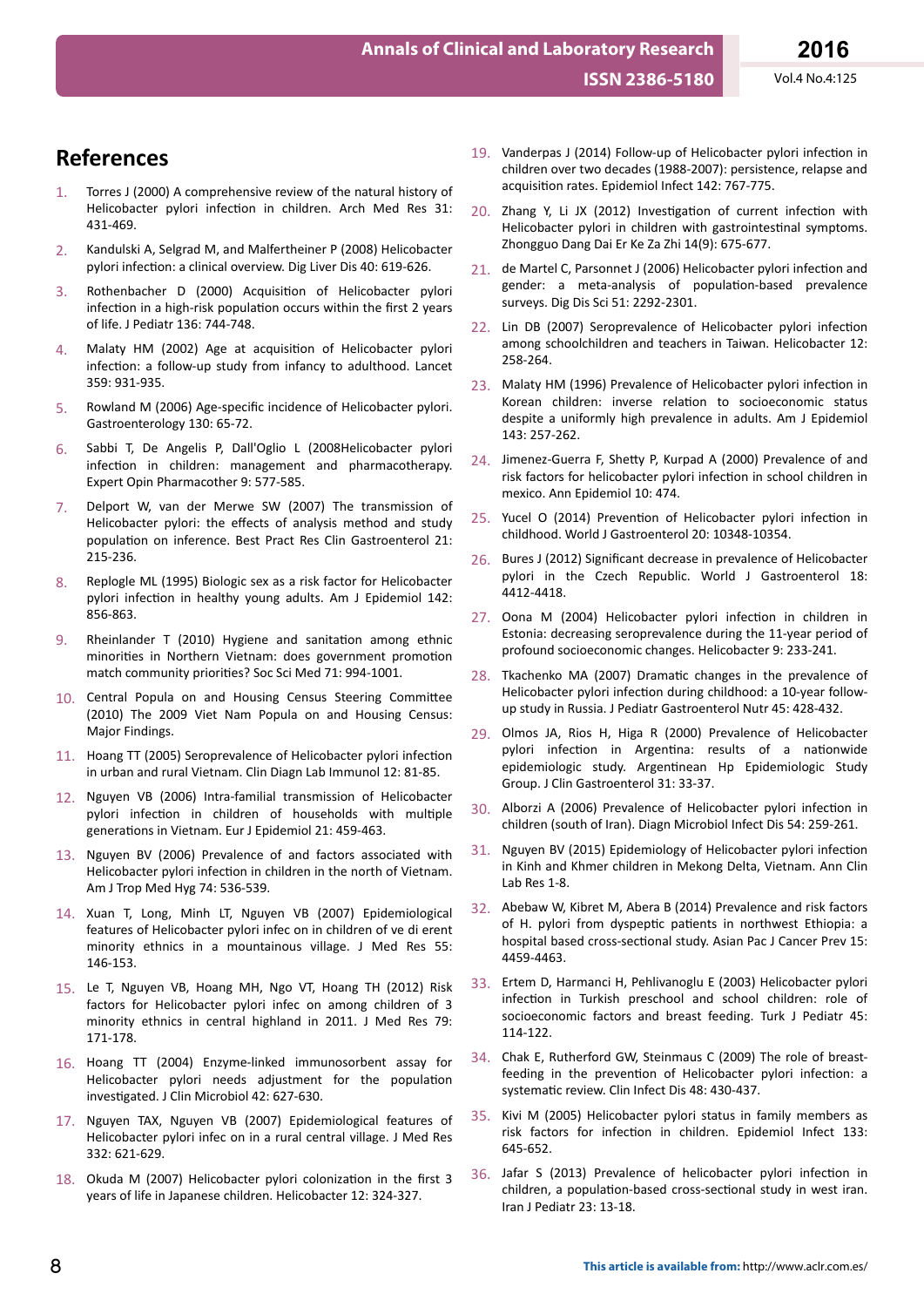## **References**

- 1. Torres J (2000) A comprehensive review of the natural history of Helicobacter pylori infection in children. Arch Med Res 31: 431-469.
- 2. Kandulski A, Selgrad M, and Malfertheiner P (2008) Helicobacter pylori infection: a clinical overview. Dig Liver Dis 40: 619-626.
- 3. Rothenbacher D (2000) Acquisition of Helicobacter pylori infection in a high-risk population occurs within the first 2 years of life. J Pediatr 136: 744-748.
- 4. Malaty HM (2002) Age at acquisition of Helicobacter pylori infection: a follow-up study from infancy to adulthood. Lancet 359: 931-935.
- 5. Rowland M (2006) Age-specific incidence of Helicobacter pylori. Gastroenterology 130: 65-72.
- 6. Sabbi T, De Angelis P, Dall'Oglio L (2008Helicobacter pylori infection in children: management and pharmacotherapy. Expert Opin Pharmacother 9: 577-585.
- 7. Delport W, van der Merwe SW (2007) The transmission of Helicobacter pylori: the effects of analysis method and study population on inference. Best Pract Res Clin Gastroenterol 21: 215-236.
- 8. Replogle ML (1995) Biologic sex as a risk factor for Helicobacter pylori infection in healthy young adults. Am J Epidemiol 142: 856-863.
- 9. Rheinlander T (2010) Hygiene and sanitation among ethnic minorities in Northern Vietnam: does government promotion match community priorities? Soc Sci Med 71: 994-1001.
- 10. Central Popula on and Housing Census Steering Committee (2010) The 2009 Viet Nam Popula on and Housing Census: Major Findings.
- 11. Hoang TT (2005) Seroprevalence of Helicobacter pylori infection in urban and rural Vietnam. Clin Diagn Lab Immunol 12: 81-85.
- 12. Nguyen VB (2006) Intra-familial transmission of Helicobacter pylori infection in children of households with multiple generations in Vietnam. Eur J Epidemiol 21: 459-463.
- 13. Nguyen BV (2006) Prevalence of and factors associated with Helicobacter pylori infection in children in the north of Vietnam. Am J Trop Med Hyg 74: 536-539.
- 14. Xuan T, Long, Minh LT, Nguyen VB (2007) Epidemiological features of Helicobacter pylori infec on in children of ve di erent minority ethnics in a mountainous village. J Med Res 55: 146-153.
- 15. Le T, Nguyen VB, Hoang MH, Ngo VT, Hoang TH (2012) Risk factors for Helicobacter pylori infec on among children of 3 minority ethnics in central highland in 2011. J Med Res 79: 171-178.
- 16. Hoang TT (2004) Enzyme-linked immunosorbent assay for Helicobacter pylori needs adjustment for the population investigated. J Clin Microbiol 42: 627-630.
- 17. Nguyen TAX, Nguyen VB (2007) Epidemiological features of Helicobacter pylori infec on in a rural central village. J Med Res 332: 621-629.
- 18. Okuda M (2007) Helicobacter pylori colonization in the first 3 years of life in Japanese children. Helicobacter 12: 324-327.
- 19. Vanderpas J (2014) Follow-up of Helicobacter pylori infection in children over two decades (1988-2007): persistence, relapse and acquisition rates. Epidemiol Infect 142: 767-775.
- 20. Zhang Y, Li JX (2012) Investigation of current infection with Helicobacter pylori in children with gastrointestinal symptoms. Zhongguo Dang Dai Er Ke Za Zhi 14(9): 675-677.
- 21. de Martel C, Parsonnet J (2006) Helicobacter pylori infection and gender: a meta-analysis of population-based prevalence surveys. Dig Dis Sci 51: 2292-2301.
- 22. Lin DB (2007) Seroprevalence of Helicobacter pylori infection among schoolchildren and teachers in Taiwan. Helicobacter 12: 258-264.
- 23. Malaty HM (1996) Prevalence of Helicobacter pylori infection in Korean children: inverse relation to socioeconomic status despite a uniformly high prevalence in adults. Am J Epidemiol 143: 257-262.
- 24. Jimenez-Guerra F, Shetty P, Kurpad A (2000) Prevalence of and risk factors for helicobacter pylori infection in school children in mexico. Ann Epidemiol 10: 474.
- 25. Yucel O (2014) Prevention of Helicobacter pylori infection in childhood. World J Gastroenterol 20: 10348-10354.
- 26. Bures J (2012) Significant decrease in prevalence of Helicobacter pylori in the Czech Republic. World J Gastroenterol 18: 4412-4418.
- 27. Oona M (2004) Helicobacter pylori infection in children in Estonia: decreasing seroprevalence during the 11-year period of profound socioeconomic changes. Helicobacter 9: 233-241.
- $28.$  Tkachenko MA (2007) Dramatic changes in the prevalence of Helicobacter pylori infection during childhood: a 10-year followup study in Russia. J Pediatr Gastroenterol Nutr 45: 428-432.
- 29. Olmos JA, Rios H, Higa R (2000) Prevalence of Helicobacter pylori infection in Argentina: results of a nationwide epidemiologic study. Argentinean Hp Epidemiologic Study Group. J Clin Gastroenterol 31: 33-37.
- 30. Alborzi A (2006) Prevalence of Helicobacter pylori infection in children (south of Iran). Diagn Microbiol Infect Dis 54: 259-261.
- 31. Nguyen BV (2015) Epidemiology of Helicobacter pylori infection in Kinh and Khmer children in Mekong Delta, Vietnam. Ann Clin Lab Res 1-8.
- 32. Abebaw W, Kibret M, Abera B (2014) Prevalence and risk factors of H. pylori from dyspeptic patients in northwest Ethiopia: a hospital based cross-sectional study. Asian Pac J Cancer Prev 15: 4459-4463.
- 33. Ertem D, Harmanci H, Pehlivanoglu E (2003) Helicobacter pylori infection in Turkish preschool and school children: role of socioeconomic factors and breast feeding. Turk J Pediatr 45: 114-122.
- 34. Chak E, Rutherford GW, Steinmaus C (2009) The role of breastfeeding in the prevention of Helicobacter pylori infection: a systematic review. Clin Infect Dis 48: 430-437.
- 35. Kivi M (2005) Helicobacter pylori status in family members as risk factors for infection in children. Epidemiol Infect 133: 645-652.
- 36. Jafar S (2013) Prevalence of helicobacter pylori infection in children, a population-based cross-sectional study in west iran. Iran J Pediatr 23: 13-18.